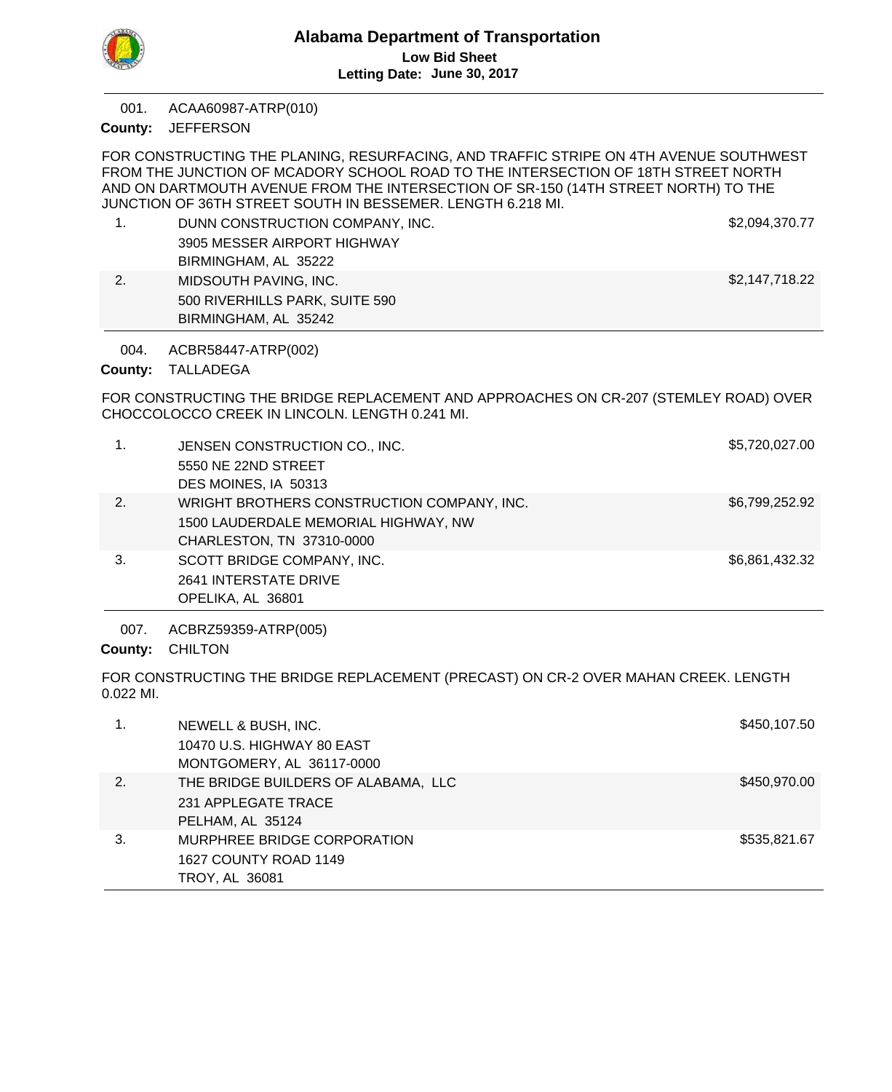

ACAA60987-ATRP(010) 001.

**JEFFERSON County:**

FOR CONSTRUCTING THE PLANING, RESURFACING, AND TRAFFIC STRIPE ON 4TH AVENUE SOUTHWEST FROM THE JUNCTION OF MCADORY SCHOOL ROAD TO THE INTERSECTION OF 18TH STREET NORTH AND ON DARTMOUTH AVENUE FROM THE INTERSECTION OF SR-150 (14TH STREET NORTH) TO THE JUNCTION OF 36TH STREET SOUTH IN BESSEMER. LENGTH 6.218 MI. 1. DUNN CONSTRUCTION COMPANY, INC. **\$2,094,370.77** 3905 MESSER AIRPORT HIGHWAY BIRMINGHAM, AL 35222 2. MIDSOUTH PAVING, INC. **\$2,147,718.22** 500 RIVERHILLS PARK, SUITE 590 BIRMINGHAM, AL 35242 FOR CONSTRUCTING THE BRIDGE REPLACEMENT AND APPROACHES ON CR-207 (STEMLEY ROAD) OVER CHOCCOLOCCO CREEK IN LINCOLN. LENGTH 0.241 MI. ACBR58447-ATRP(002) County: TALLADEGA 004. 1. JENSEN CONSTRUCTION CO., INC. \$5,720,027.00 5550 NE 22ND STREET DES MOINES, IA 50313 2. WRIGHT BROTHERS CONSTRUCTION COMPANY, INC.  $$6,799,252.92$ 1500 LAUDERDALE MEMORIAL HIGHWAY, NW CHARLESTON, TN 37310-0000 3. SCOTT BRIDGE COMPANY, INC. SEE A SAMPLE SEE A SCOTT BRIDGE COMPANY, INC. 2641 INTERSTATE DRIVE OPELIKA, AL 36801 FOR CONSTRUCTING THE BRIDGE REPLACEMENT (PRECAST) ON CR-2 OVER MAHAN CREEK. LENGTH 0.022 MI. ACBRZ59359-ATRP(005) County: CHILTON 007. 1. NEWELL & BUSH, INC. News, 1998. The Second Second Second Second Second Second Second Second Second Second Second Second Second Second Second Second Second Second Second Second Second Second Second Second Second Second S 10470 U.S. HIGHWAY 80 EAST MONTGOMERY, AL 36117-0000 2. THE BRIDGE BUILDERS OF ALABAMA, LLC **All the state of the S450,970.00** 231 APPLEGATE TRACE PELHAM, AL 35124 3. MURPHREE BRIDGE CORPORATION **\$535,821.67** 1627 COUNTY ROAD 1149 TROY, AL 36081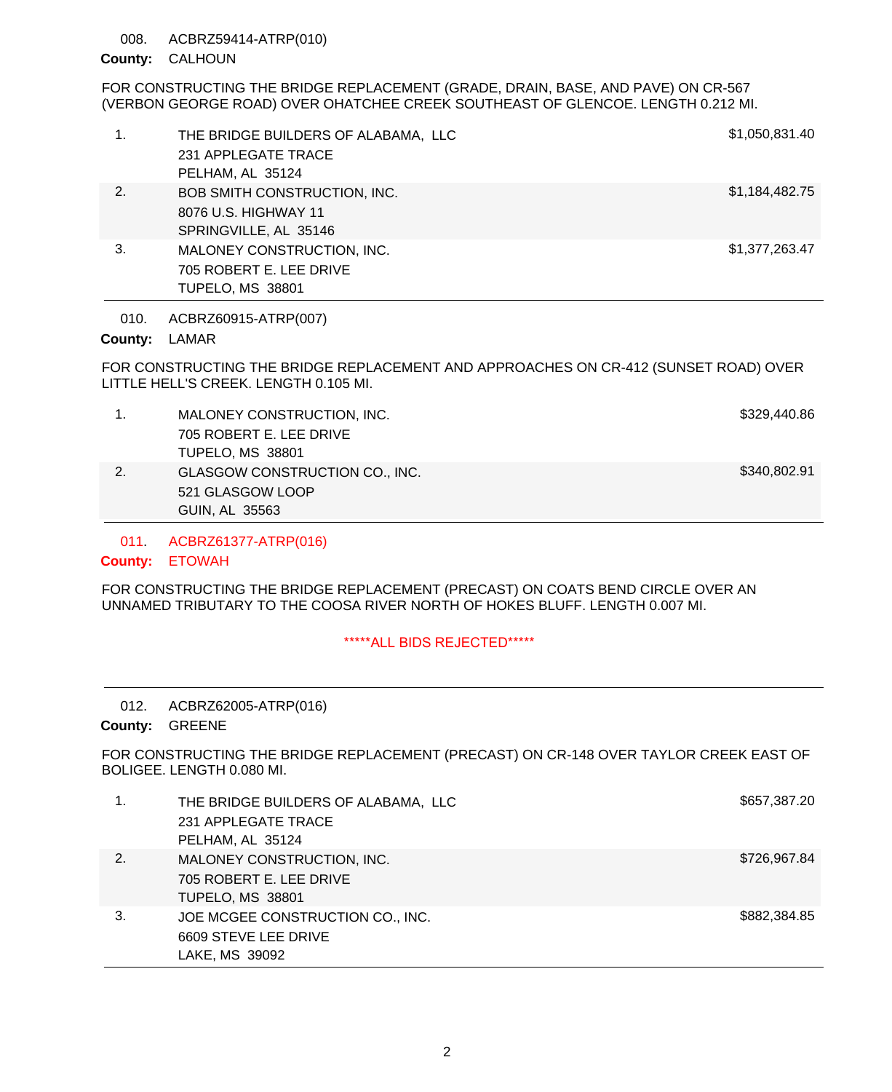### ACBRZ59414-ATRP(010) 008.

# CALHOUN **County:**

# FOR CONSTRUCTING THE BRIDGE REPLACEMENT (GRADE, DRAIN, BASE, AND PAVE) ON CR-567 (VERBON GEORGE ROAD) OVER OHATCHEE CREEK SOUTHEAST OF GLENCOE. LENGTH 0.212 MI.

| 1. | THE BRIDGE BUILDERS OF ALABAMA, LLC<br>231 APPLEGATE TRACE<br>PELHAM, AL 35124 | \$1,050,831.40 |
|----|--------------------------------------------------------------------------------|----------------|
| 2. | BOB SMITH CONSTRUCTION, INC.<br>8076 U.S. HIGHWAY 11<br>SPRINGVILLE, AL 35146  | \$1,184,482.75 |
| 3. | MALONEY CONSTRUCTION, INC.<br>705 ROBERT E. LEE DRIVE<br>TUPELO, MS 38801      | \$1,377,263.47 |

ACBRZ60915-ATRP(007) 010.

# County: LAMAR

FOR CONSTRUCTING THE BRIDGE REPLACEMENT AND APPROACHES ON CR-412 (SUNSET ROAD) OVER LITTLE HELL'S CREEK. LENGTH 0.105 MI.

|    | MALONEY CONSTRUCTION, INC.     | \$329,440.86 |
|----|--------------------------------|--------------|
|    | 705 ROBERT E. LEE DRIVE        |              |
|    | <b>TUPELO, MS 38801</b>        |              |
| 2. | GLASGOW CONSTRUCTION CO., INC. | \$340,802.91 |
|    | 521 GLASGOW LOOP               |              |
|    | GUIN, AL 35563                 |              |

ACBRZ61377-ATRP(016) 011.

# ETOWAH **County:**

FOR CONSTRUCTING THE BRIDGE REPLACEMENT (PRECAST) ON COATS BEND CIRCLE OVER AN UNNAMED TRIBUTARY TO THE COOSA RIVER NORTH OF HOKES BLUFF. LENGTH 0.007 MI.

# \*\*\*\*\*ALL BIDS REJECTED\*\*\*\*\*

### ACBRZ62005-ATRP(016) 012.

# County: GREENE

FOR CONSTRUCTING THE BRIDGE REPLACEMENT (PRECAST) ON CR-148 OVER TAYLOR CREEK EAST OF BOLIGEE. LENGTH 0.080 MI.

|    | THE BRIDGE BUILDERS OF ALABAMA, LLC<br>231 APPLEGATE TRACE<br>PELHAM, AL 35124   | \$657,387.20 |
|----|----------------------------------------------------------------------------------|--------------|
| 2. | MALONEY CONSTRUCTION, INC.<br>705 ROBERT E. LEE DRIVE<br><b>TUPELO, MS 38801</b> | \$726,967.84 |
| 3. | JOE MCGEE CONSTRUCTION CO., INC.<br>6609 STEVE LEE DRIVE<br>LAKE, MS 39092       | \$882,384.85 |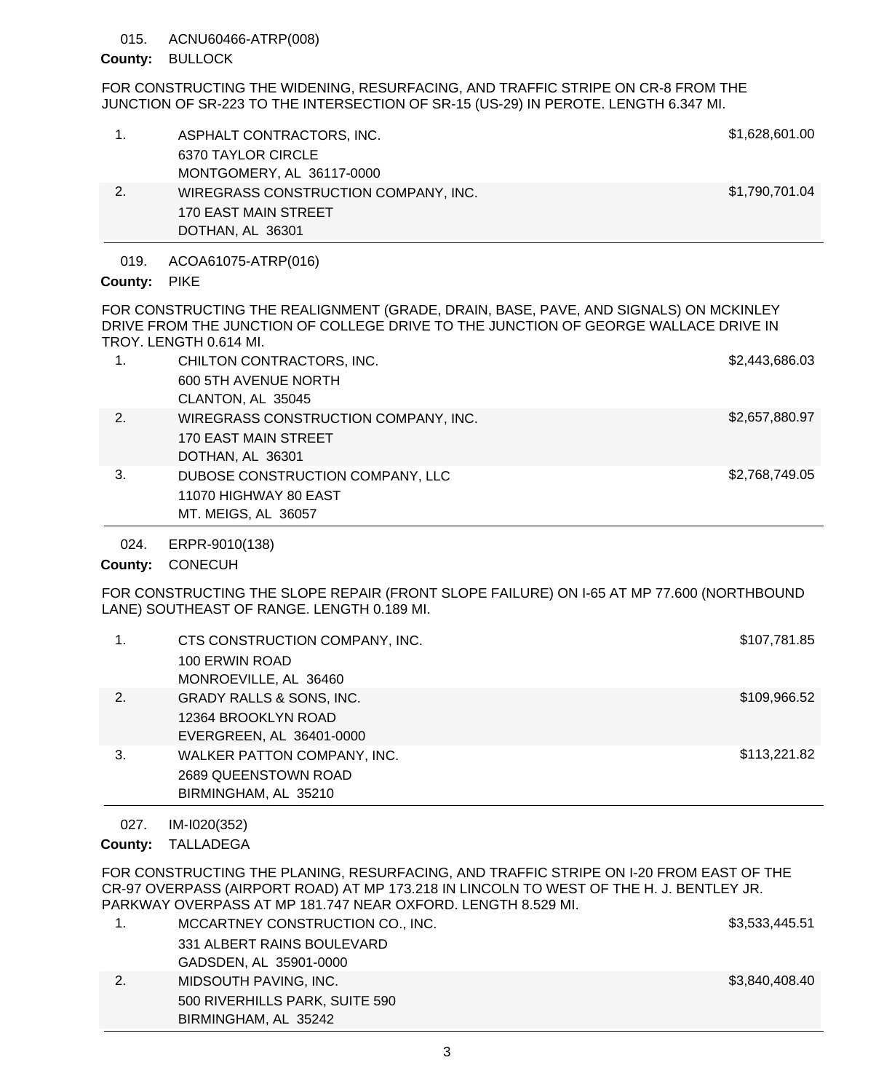### ACNU60466-ATRP(008) 015.

# County: BULLOCK

FOR CONSTRUCTING THE WIDENING, RESURFACING, AND TRAFFIC STRIPE ON CR-8 FROM THE JUNCTION OF SR-223 TO THE INTERSECTION OF SR-15 (US-29) IN PEROTE. LENGTH 6.347 MI.

| ASPHALT CONTRACTORS, INC.<br>6370 TAYLOR CIRCLE<br>MONTGOMERY, AL 36117-0000     | \$1,628,601.00 |
|----------------------------------------------------------------------------------|----------------|
| WIREGRASS CONSTRUCTION COMPANY, INC.<br>170 EAST MAIN STREET<br>DOTHAN, AL 36301 | \$1,790,701.04 |
|                                                                                  |                |

ACOA61075-ATRP(016) 019.

# County: PIKE

FOR CONSTRUCTING THE REALIGNMENT (GRADE, DRAIN, BASE, PAVE, AND SIGNALS) ON MCKINLEY DRIVE FROM THE JUNCTION OF COLLEGE DRIVE TO THE JUNCTION OF GEORGE WALLACE DRIVE IN TROY. LENGTH 0.614 MI.

| 2.<br>WIREGRASS CONSTRUCTION COMPANY, INC.<br>170 EAST MAIN STREET<br>DOTHAN, AL 36301<br>3.<br>DUBOSE CONSTRUCTION COMPANY, LLC | \$2,657,880.97 |
|----------------------------------------------------------------------------------------------------------------------------------|----------------|
|                                                                                                                                  |                |
| 11070 HIGHWAY 80 EAST<br>MT. MEIGS, AL 36057                                                                                     | \$2,768,749.05 |

ERPR-9010(138) 024.

# County: CONECUH

FOR CONSTRUCTING THE SLOPE REPAIR (FRONT SLOPE FAILURE) ON I-65 AT MP 77.600 (NORTHBOUND LANE) SOUTHEAST OF RANGE. LENGTH 0.189 MI.

| 1. | CTS CONSTRUCTION COMPANY, INC.<br>100 ERWIN ROAD<br>MONROEVILLE, AL 36460              | \$107,781.85 |
|----|----------------------------------------------------------------------------------------|--------------|
| 2. | <b>GRADY RALLS &amp; SONS, INC.</b><br>12364 BROOKLYN ROAD<br>EVERGREEN, AL 36401-0000 | \$109,966.52 |
| 3. | WALKER PATTON COMPANY, INC.<br>2689 QUEENSTOWN ROAD<br>BIRMINGHAM, AL 35210            | \$113,221.82 |

IM-I020(352) 027.

County: TALLADEGA

FOR CONSTRUCTING THE PLANING, RESURFACING, AND TRAFFIC STRIPE ON I-20 FROM EAST OF THE CR-97 OVERPASS (AIRPORT ROAD) AT MP 173.218 IN LINCOLN TO WEST OF THE H. J. BENTLEY JR. PARKWAY OVERPASS AT MP 181.747 NEAR OXFORD. LENGTH 8.529 MI.

|    | MCCARTNEY CONSTRUCTION CO., INC. | \$3,533,445.51 |
|----|----------------------------------|----------------|
|    | 331 ALBERT RAINS BOULEVARD       |                |
|    | GADSDEN, AL 35901-0000           |                |
| 2. | MIDSOUTH PAVING, INC.            | \$3,840,408.40 |
|    | 500 RIVERHILLS PARK, SUITE 590   |                |
|    | BIRMINGHAM, AL 35242             |                |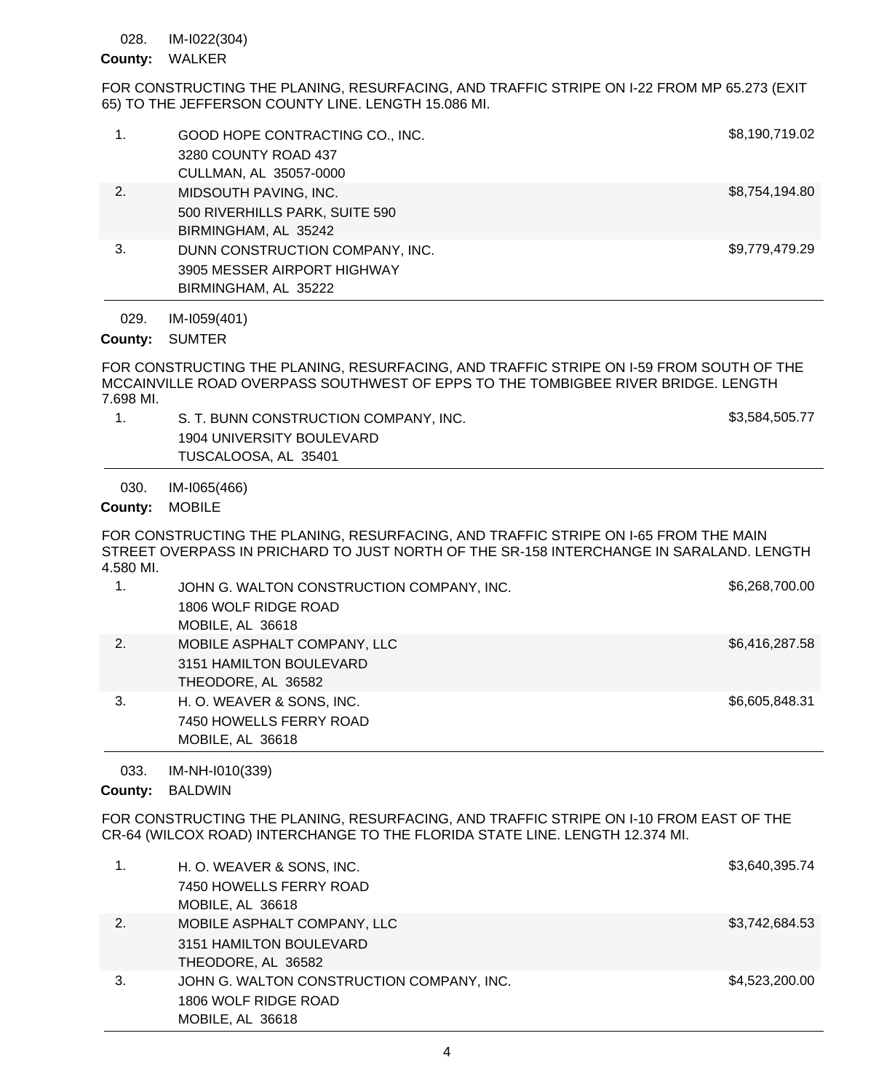#### IM-I022(304) 028.

# County: WALKER

FOR CONSTRUCTING THE PLANING, RESURFACING, AND TRAFFIC STRIPE ON I-22 FROM MP 65.273 (EXIT 65) TO THE JEFFERSON COUNTY LINE. LENGTH 15.086 MI.

| 029.<br>County: | IM-I059(401)<br><b>SUMTER</b>                                                          |                |
|-----------------|----------------------------------------------------------------------------------------|----------------|
| 3.              | DUNN CONSTRUCTION COMPANY, INC.<br>3905 MESSER AIRPORT HIGHWAY<br>BIRMINGHAM, AL 35222 | \$9,779,479.29 |
| 2.              | MIDSOUTH PAVING, INC.<br>500 RIVERHILLS PARK, SUITE 590<br>BIRMINGHAM, AL 35242        | \$8,754,194.80 |
| 1.              | GOOD HOPE CONTRACTING CO., INC.<br>3280 COUNTY ROAD 437<br>CULLMAN, AL 35057-0000      | \$8,190,719.02 |
|                 |                                                                                        |                |

FOR CONSTRUCTING THE PLANING, RESURFACING, AND TRAFFIC STRIPE ON I-59 FROM SOUTH OF THE MCCAINVILLE ROAD OVERPASS SOUTHWEST OF EPPS TO THE TOMBIGBEE RIVER BRIDGE. LENGTH 7.698 MI.

| S. T. BUNN CONSTRUCTION COMPANY, INC. | \$3,584,505.77 |
|---------------------------------------|----------------|
| 1904 UNIVERSITY BOULEVARD             |                |
| TUSCALOOSA, AL 35401                  |                |

IM-I065(466) 030.

# County: MOBILE

FOR CONSTRUCTING THE PLANING, RESURFACING, AND TRAFFIC STRIPE ON I-65 FROM THE MAIN STREET OVERPASS IN PRICHARD TO JUST NORTH OF THE SR-158 INTERCHANGE IN SARALAND. LENGTH 4.580 MI.

|    | JOHN G. WALTON CONSTRUCTION COMPANY, INC. | \$6,268,700.00 |
|----|-------------------------------------------|----------------|
|    | 1806 WOLF RIDGE ROAD                      |                |
|    | MOBILE, AL 36618                          |                |
| 2. | MOBILE ASPHALT COMPANY, LLC               | \$6,416,287.58 |
|    | 3151 HAMILTON BOULEVARD                   |                |
|    | THEODORE, AL 36582                        |                |
| 3. | H. O. WEAVER & SONS, INC.                 | \$6,605,848.31 |
|    | 7450 HOWELLS FERRY ROAD                   |                |
|    | MOBILE, AL 36618                          |                |

### IM-NH-I010(339) 033.

# County: BALDWIN

FOR CONSTRUCTING THE PLANING, RESURFACING, AND TRAFFIC STRIPE ON I-10 FROM EAST OF THE CR-64 (WILCOX ROAD) INTERCHANGE TO THE FLORIDA STATE LINE. LENGTH 12.374 MI.

|    | H. O. WEAVER & SONS, INC.                 | \$3,640,395.74 |
|----|-------------------------------------------|----------------|
|    | 7450 HOWELLS FERRY ROAD                   |                |
|    | MOBILE, AL 36618                          |                |
| 2. | MOBILE ASPHALT COMPANY, LLC               | \$3,742,684.53 |
|    | 3151 HAMILTON BOULEVARD                   |                |
|    | THEODORE, AL 36582                        |                |
| 3. | JOHN G. WALTON CONSTRUCTION COMPANY, INC. | \$4,523,200.00 |
|    | 1806 WOLF RIDGE ROAD                      |                |
|    | MOBILE, AL 36618                          |                |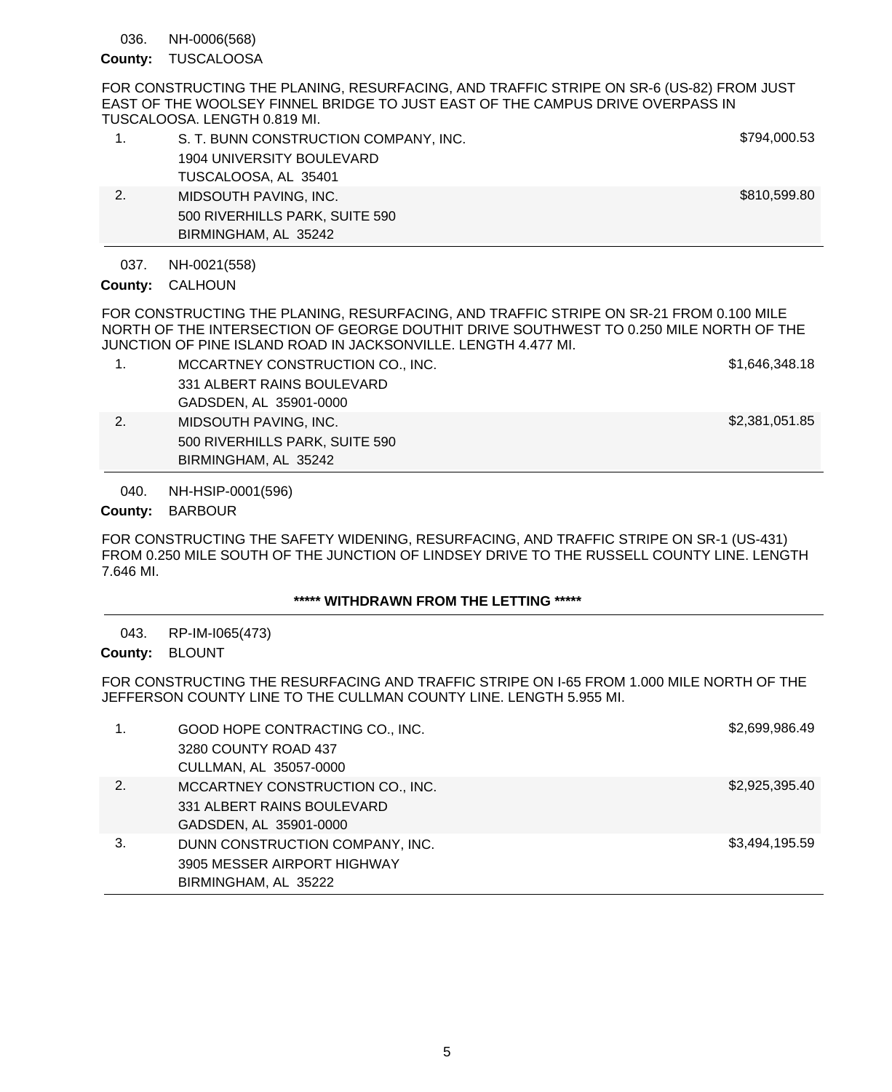NH-0006(568) 036.

County: TUSCALOOSA

FOR CONSTRUCTING THE PLANING, RESURFACING, AND TRAFFIC STRIPE ON SR-6 (US-82) FROM JUST EAST OF THE WOOLSEY FINNEL BRIDGE TO JUST EAST OF THE CAMPUS DRIVE OVERPASS IN TUSCALOOSA. LENGTH 0.819 MI.

| 1. | S. T. BUNN CONSTRUCTION COMPANY, INC. | \$794,000.53 |
|----|---------------------------------------|--------------|
|    | 1904 UNIVERSITY BOULEVARD             |              |
|    | TUSCALOOSA, AL 35401                  |              |
| 2. | MIDSOUTH PAVING, INC.                 | \$810,599.80 |
|    | 500 RIVERHILLS PARK, SUITE 590        |              |
|    | BIRMINGHAM, AL 35242                  |              |

NH-0021(558) 037.

County: CALHOUN

FOR CONSTRUCTING THE PLANING, RESURFACING, AND TRAFFIC STRIPE ON SR-21 FROM 0.100 MILE NORTH OF THE INTERSECTION OF GEORGE DOUTHIT DRIVE SOUTHWEST TO 0.250 MILE NORTH OF THE JUNCTION OF PINE ISLAND ROAD IN JACKSONVILLE. LENGTH 4.477 MI.

- 1. MCCARTNEY CONSTRUCTION CO., INC. \$1,646,348.18 331 ALBERT RAINS BOULEVARD GADSDEN, AL 35901-0000 2. MIDSOUTH PAVING, INC. **\$2,381,051.85** 500 RIVERHILLS PARK, SUITE 590
	- BIRMINGHAM, AL 35242

NH-HSIP-0001(596) 040.

County: BARBOUR

FOR CONSTRUCTING THE SAFETY WIDENING, RESURFACING, AND TRAFFIC STRIPE ON SR-1 (US-431) FROM 0.250 MILE SOUTH OF THE JUNCTION OF LINDSEY DRIVE TO THE RUSSELL COUNTY LINE. LENGTH 7.646 MI.

# **\*\*\*\*\* WITHDRAWN FROM THE LETTING \*\*\*\*\***

RP-IM-I065(473) 043.

County: BLOUNT

FOR CONSTRUCTING THE RESURFACING AND TRAFFIC STRIPE ON I-65 FROM 1.000 MILE NORTH OF THE JEFFERSON COUNTY LINE TO THE CULLMAN COUNTY LINE. LENGTH 5.955 MI.

| 1. | GOOD HOPE CONTRACTING CO., INC.<br>3280 COUNTY ROAD 437<br>CULLMAN, AL 35057-0000        | \$2,699,986.49 |
|----|------------------------------------------------------------------------------------------|----------------|
| 2. | MCCARTNEY CONSTRUCTION CO., INC.<br>331 ALBERT RAINS BOULEVARD<br>GADSDEN, AL 35901-0000 | \$2,925,395.40 |
| 3. | DUNN CONSTRUCTION COMPANY, INC.<br>3905 MESSER AIRPORT HIGHWAY<br>BIRMINGHAM, AL 35222   | \$3,494,195.59 |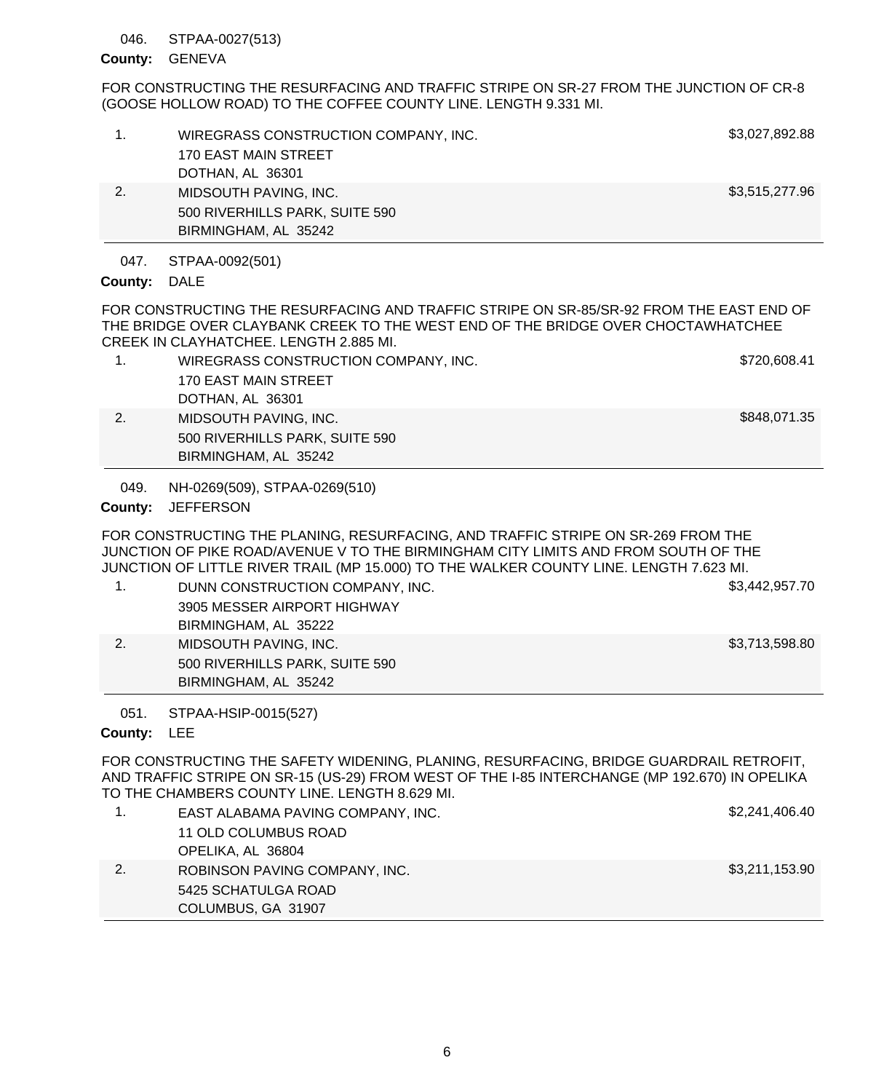### STPAA-0027(513) 046.

# County: GENEVA

FOR CONSTRUCTING THE RESURFACING AND TRAFFIC STRIPE ON SR-27 FROM THE JUNCTION OF CR-8 (GOOSE HOLLOW ROAD) TO THE COFFEE COUNTY LINE. LENGTH 9.331 MI.

|    | WIREGRASS CONSTRUCTION COMPANY, INC.<br>170 EAST MAIN STREET<br>DOTHAN, AL 36301 | \$3,027,892.88 |
|----|----------------------------------------------------------------------------------|----------------|
| 2. | MIDSOUTH PAVING, INC.<br>500 RIVERHILLS PARK, SUITE 590<br>BIRMINGHAM, AL 35242  | \$3,515,277.96 |

### STPAA-0092(501) 047.

# County: DALE

FOR CONSTRUCTING THE RESURFACING AND TRAFFIC STRIPE ON SR-85/SR-92 FROM THE EAST END OF THE BRIDGE OVER CLAYBANK CREEK TO THE WEST END OF THE BRIDGE OVER CHOCTAWHATCHEE CREEK IN CLAYHATCHEE. LENGTH 2.885 MI.

| WIREGRASS CONSTRUCTION COMPANY, INC. | \$720,608.41 |
|--------------------------------------|--------------|
| 170 EAST MAIN STREET                 |              |
| DOTHAN, AL 36301                     |              |
| MIDSOUTH PAVING, INC.                | \$848,071.35 |
| 500 RIVERHILLS PARK, SUITE 590       |              |
| BIRMINGHAM, AL 35242                 |              |

NH-0269(509), STPAA-0269(510) 049.

# County: JEFFERSON

FOR CONSTRUCTING THE PLANING, RESURFACING, AND TRAFFIC STRIPE ON SR-269 FROM THE JUNCTION OF PIKE ROAD/AVENUE V TO THE BIRMINGHAM CITY LIMITS AND FROM SOUTH OF THE JUNCTION OF LITTLE RIVER TRAIL (MP 15.000) TO THE WALKER COUNTY LINE. LENGTH 7.623 MI.

- 1. DUNN CONSTRUCTION COMPANY, INC. \$3,442,957.70 3905 MESSER AIRPORT HIGHWAY BIRMINGHAM, AL 35222 2. MIDSOUTH PAVING, INC. 2. Sandbottle and the state of the state of the state of the state of the state of the state of the state of the state of the state of the state of the state of the state of the state of the state
- BIRMINGHAM, AL 35242

500 RIVERHILLS PARK, SUITE 590

### STPAA-HSIP-0015(527) 051.

# County: LEE

FOR CONSTRUCTING THE SAFETY WIDENING, PLANING, RESURFACING, BRIDGE GUARDRAIL RETROFIT, AND TRAFFIC STRIPE ON SR-15 (US-29) FROM WEST OF THE I-85 INTERCHANGE (MP 192.670) IN OPELIKA TO THE CHAMBERS COUNTY LINE. LENGTH 8.629 MI.

|    | EAST ALABAMA PAVING COMPANY, INC. | \$2,241,406.40 |
|----|-----------------------------------|----------------|
|    | 11 OLD COLUMBUS ROAD              |                |
|    | OPELIKA, AL 36804                 |                |
| 2. | ROBINSON PAVING COMPANY, INC.     | \$3,211,153.90 |
|    | 5425 SCHATULGA ROAD               |                |
|    | COLUMBUS, GA 31907                |                |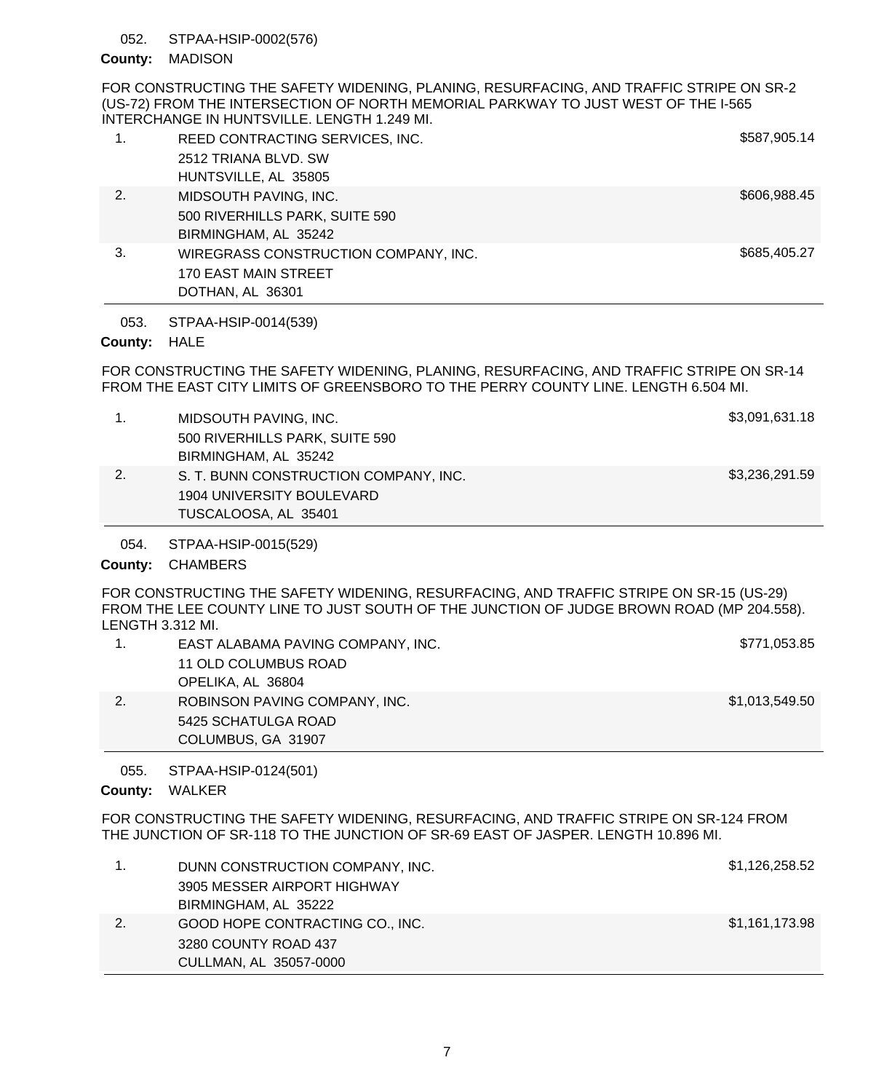### STPAA-HSIP-0002(576) 052.

# County: MADISON

FOR CONSTRUCTING THE SAFETY WIDENING, PLANING, RESURFACING, AND TRAFFIC STRIPE ON SR-2 (US-72) FROM THE INTERSECTION OF NORTH MEMORIAL PARKWAY TO JUST WEST OF THE I-565 INTERCHANGE IN HUNTSVILLE. LENGTH 1.249 MI.

| 1. | REED CONTRACTING SERVICES, INC.<br>2512 TRIANA BLVD, SW<br>HUNTSVILLE, AL 35805  | \$587,905.14 |
|----|----------------------------------------------------------------------------------|--------------|
| 2. | MIDSOUTH PAVING, INC.<br>500 RIVERHILLS PARK, SUITE 590<br>BIRMINGHAM, AL 35242  | \$606,988.45 |
| 3. | WIREGRASS CONSTRUCTION COMPANY, INC.<br>170 EAST MAIN STREET<br>DOTHAN, AL 36301 | \$685,405.27 |

STPAA-HSIP-0014(539) 053.

# County: HALE

FOR CONSTRUCTING THE SAFETY WIDENING, PLANING, RESURFACING, AND TRAFFIC STRIPE ON SR-14 FROM THE EAST CITY LIMITS OF GREENSBORO TO THE PERRY COUNTY LINE. LENGTH 6.504 MI.

| 1. | MIDSOUTH PAVING, INC.                 | \$3,091,631.18 |
|----|---------------------------------------|----------------|
|    | 500 RIVERHILLS PARK, SUITE 590        |                |
|    | BIRMINGHAM, AL 35242                  |                |
| 2. | S. T. BUNN CONSTRUCTION COMPANY, INC. | \$3,236,291.59 |
|    | 1904 UNIVERSITY BOULEVARD             |                |
|    | TUSCALOOSA, AL 35401                  |                |
|    |                                       |                |

STPAA-HSIP-0015(529) 054.

# County: CHAMBERS

FOR CONSTRUCTING THE SAFETY WIDENING, RESURFACING, AND TRAFFIC STRIPE ON SR-15 (US-29) FROM THE LEE COUNTY LINE TO JUST SOUTH OF THE JUNCTION OF JUDGE BROWN ROAD (MP 204.558). LENGTH 3.312 MI.

|    | COLUMBUS, GA 31907                |                |
|----|-----------------------------------|----------------|
|    | 5425 SCHATULGA ROAD               |                |
| 2. | ROBINSON PAVING COMPANY, INC.     | \$1,013,549.50 |
|    | OPELIKA, AL 36804                 |                |
|    | 11 OLD COLUMBUS ROAD              |                |
|    | EAST ALABAMA PAVING COMPANY, INC. | \$771,053.85   |

STPAA-HSIP-0124(501) 055.

County: WALKER

FOR CONSTRUCTING THE SAFETY WIDENING, RESURFACING, AND TRAFFIC STRIPE ON SR-124 FROM THE JUNCTION OF SR-118 TO THE JUNCTION OF SR-69 EAST OF JASPER. LENGTH 10.896 MI.

| DUNN CONSTRUCTION COMPANY, INC. | \$1,126,258.52 |
|---------------------------------|----------------|
| 3905 MESSER AIRPORT HIGHWAY     |                |
| BIRMINGHAM, AL 35222            |                |
| GOOD HOPE CONTRACTING CO., INC. | \$1,161,173.98 |
| 3280 COUNTY ROAD 437            |                |
| CULLMAN, AL 35057-0000          |                |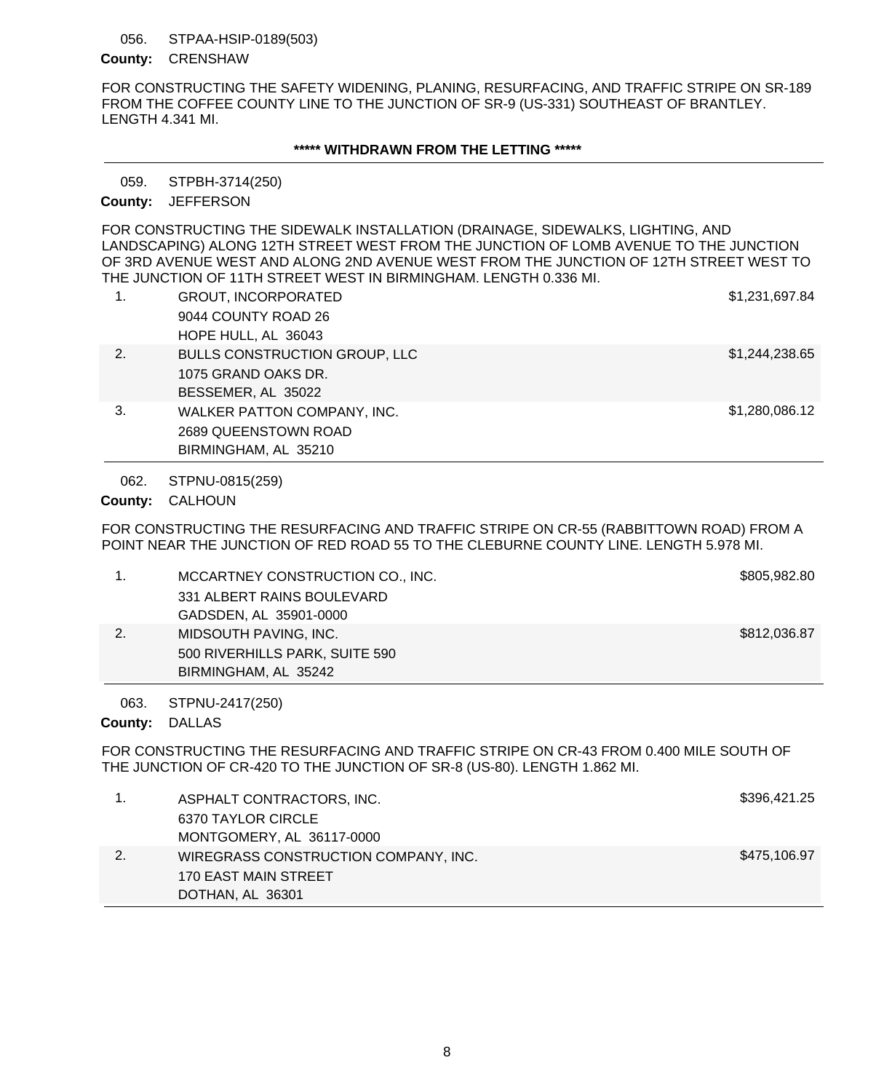### STPAA-HSIP-0189(503) 056.

# County: **CRENSHAW**

FOR CONSTRUCTING THE SAFETY WIDENING, PLANING, RESURFACING, AND TRAFFIC STRIPE ON SR-189 FROM THE COFFEE COUNTY LINE TO THE JUNCTION OF SR-9 (US-331) SOUTHEAST OF BRANTLEY. LENGTH 4.341 MI.

# **\*\*\*\*\* WITHDRAWN FROM THE LETTING \*\*\*\*\***

STPBH-3714(250) 059.

# County: JEFFERSON

FOR CONSTRUCTING THE SIDEWALK INSTALLATION (DRAINAGE, SIDEWALKS, LIGHTING, AND LANDSCAPING) ALONG 12TH STREET WEST FROM THE JUNCTION OF LOMB AVENUE TO THE JUNCTION OF 3RD AVENUE WEST AND ALONG 2ND AVENUE WEST FROM THE JUNCTION OF 12TH STREET WEST TO THE JUNCTION OF 11TH STREET WEST IN BIRMINGHAM. LENGTH 0.336 MI.

| 1. | <b>GROUT, INCORPORATED</b>           | \$1,231,697.84 |
|----|--------------------------------------|----------------|
|    | 9044 COUNTY ROAD 26                  |                |
|    | HOPE HULL, AL 36043                  |                |
| 2. | <b>BULLS CONSTRUCTION GROUP, LLC</b> | \$1,244,238.65 |
|    | 1075 GRAND OAKS DR.                  |                |
|    | BESSEMER, AL 35022                   |                |
| 3. | WALKER PATTON COMPANY, INC.          | \$1,280,086.12 |
|    | 2689 QUEENSTOWN ROAD                 |                |
|    | BIRMINGHAM, AL 35210                 |                |

STPNU-0815(259) 062.

County: CALHOUN

FOR CONSTRUCTING THE RESURFACING AND TRAFFIC STRIPE ON CR-55 (RABBITTOWN ROAD) FROM A POINT NEAR THE JUNCTION OF RED ROAD 55 TO THE CLEBURNE COUNTY LINE. LENGTH 5.978 MI.

| MCCARTNEY CONSTRUCTION CO., INC. | \$805,982.80 |
|----------------------------------|--------------|
| 331 ALBERT RAINS BOULEVARD       |              |
| GADSDEN, AL 35901-0000           |              |
| MIDSOUTH PAVING, INC.            | \$812,036.87 |
| 500 RIVERHILLS PARK, SUITE 590   |              |
| BIRMINGHAM, AL 35242             |              |

STPNU-2417(250) 063.

County: DALLAS

FOR CONSTRUCTING THE RESURFACING AND TRAFFIC STRIPE ON CR-43 FROM 0.400 MILE SOUTH OF THE JUNCTION OF CR-420 TO THE JUNCTION OF SR-8 (US-80). LENGTH 1.862 MI.

| ASPHALT CONTRACTORS, INC.            | \$396,421.25 |
|--------------------------------------|--------------|
| 6370 TAYLOR CIRCLE                   |              |
| MONTGOMERY, AL 36117-0000            |              |
| WIREGRASS CONSTRUCTION COMPANY, INC. | \$475,106.97 |
| <b>170 EAST MAIN STREET</b>          |              |
| DOTHAN, AL 36301                     |              |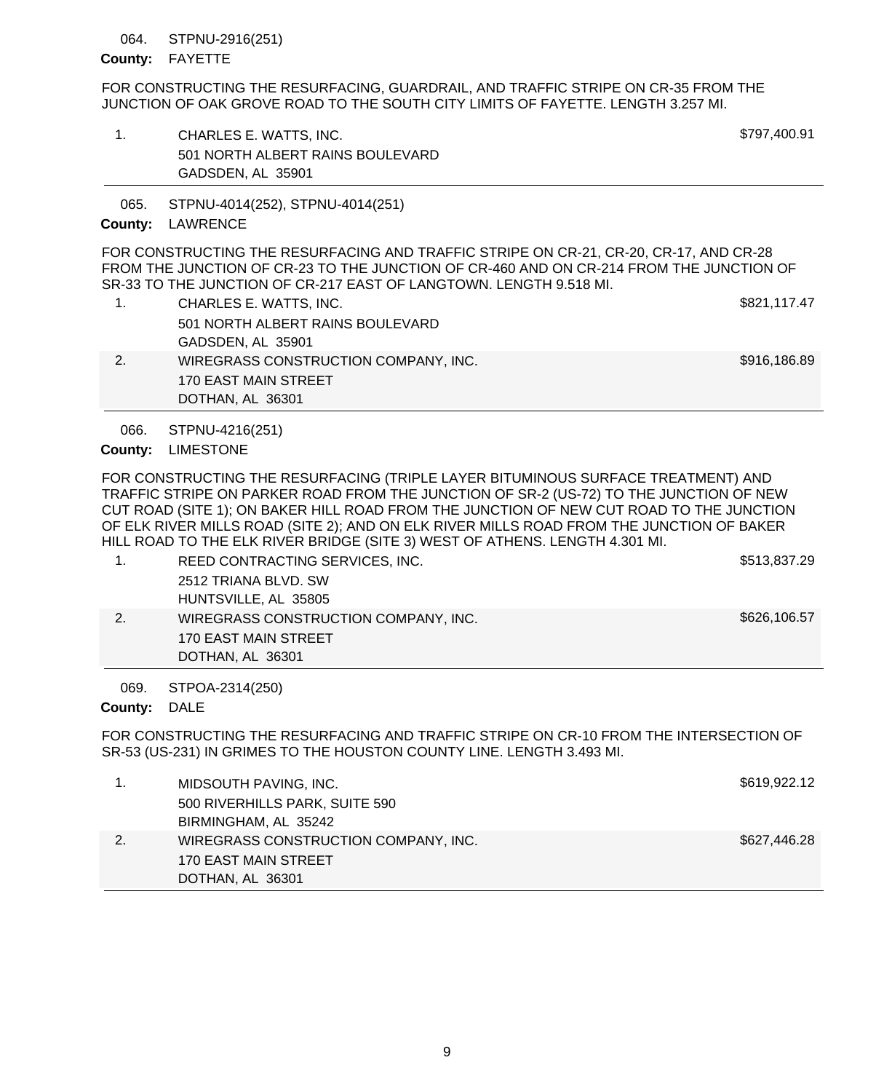### STPNU-2916(251) 064.

# County: FAYETTE

FOR CONSTRUCTING THE RESURFACING, GUARDRAIL, AND TRAFFIC STRIPE ON CR-35 FROM THE JUNCTION OF OAK GROVE ROAD TO THE SOUTH CITY LIMITS OF FAYETTE. LENGTH 3.257 MI.

1. CHARLES E. WATTS, INC. \$797,400.91 501 NORTH ALBERT RAINS BOULEVARD GADSDEN, AL 35901

STPNU-4014(252), STPNU-4014(251) 065.

# County: LAWRENCE

FOR CONSTRUCTING THE RESURFACING AND TRAFFIC STRIPE ON CR-21, CR-20, CR-17, AND CR-28 FROM THE JUNCTION OF CR-23 TO THE JUNCTION OF CR-460 AND ON CR-214 FROM THE JUNCTION OF SR-33 TO THE JUNCTION OF CR-217 EAST OF LANGTOWN. LENGTH 9.518 MI.

| CHARLES E. WATTS, INC.               | \$821,117.47 |
|--------------------------------------|--------------|
| 501 NORTH ALBERT RAINS BOULEVARD     |              |
| GADSDEN, AL 35901                    |              |
| WIREGRASS CONSTRUCTION COMPANY, INC. | \$916,186.89 |
| 170 EAST MAIN STREET                 |              |
| DOTHAN, AL 36301                     |              |

STPNU-4216(251) 066.

# County: LIMESTONE

FOR CONSTRUCTING THE RESURFACING (TRIPLE LAYER BITUMINOUS SURFACE TREATMENT) AND TRAFFIC STRIPE ON PARKER ROAD FROM THE JUNCTION OF SR-2 (US-72) TO THE JUNCTION OF NEW CUT ROAD (SITE 1); ON BAKER HILL ROAD FROM THE JUNCTION OF NEW CUT ROAD TO THE JUNCTION OF ELK RIVER MILLS ROAD (SITE 2); AND ON ELK RIVER MILLS ROAD FROM THE JUNCTION OF BAKER HILL ROAD TO THE ELK RIVER BRIDGE (SITE 3) WEST OF ATHENS. LENGTH 4.301 MI.

|                                      | \$513,837.29 |
|--------------------------------------|--------------|
| REED CONTRACTING SERVICES, INC.      |              |
| 2512 TRIANA BLVD, SW                 |              |
| HUNTSVILLE, AL 35805                 |              |
| WIREGRASS CONSTRUCTION COMPANY, INC. | \$626,106.57 |
| 170 EAST MAIN STREET                 |              |
| DOTHAN, AL 36301                     |              |

### STPOA-2314(250) 069.

# County: DALE

FOR CONSTRUCTING THE RESURFACING AND TRAFFIC STRIPE ON CR-10 FROM THE INTERSECTION OF SR-53 (US-231) IN GRIMES TO THE HOUSTON COUNTY LINE. LENGTH 3.493 MI.

|    | MIDSOUTH PAVING, INC.                | \$619,922.12 |
|----|--------------------------------------|--------------|
|    | 500 RIVERHILLS PARK, SUITE 590       |              |
|    | BIRMINGHAM, AL 35242                 |              |
| 2. | WIREGRASS CONSTRUCTION COMPANY, INC. | \$627,446.28 |
|    | 170 EAST MAIN STREET                 |              |
|    | DOTHAN, AL 36301                     |              |